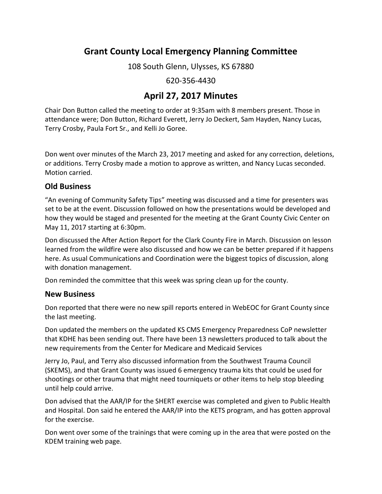# **Grant County Local Emergency Planning Committee**

108 South Glenn, Ulysses, KS 67880

620-356-4430

## **April 27, 2017 Minutes**

Chair Don Button called the meeting to order at 9:35am with 8 members present. Those in attendance were; Don Button, Richard Everett, Jerry Jo Deckert, Sam Hayden, Nancy Lucas, Terry Crosby, Paula Fort Sr., and Kelli Jo Goree.

Don went over minutes of the March 23, 2017 meeting and asked for any correction, deletions, or additions. Terry Crosby made a motion to approve as written, and Nancy Lucas seconded. Motion carried.

### **Old Business**

"An evening of Community Safety Tips" meeting was discussed and a time for presenters was set to be at the event. Discussion followed on how the presentations would be developed and how they would be staged and presented for the meeting at the Grant County Civic Center on May 11, 2017 starting at 6:30pm.

Don discussed the After Action Report for the Clark County Fire in March. Discussion on lesson learned from the wildfire were also discussed and how we can be better prepared if it happens here. As usual Communications and Coordination were the biggest topics of discussion, along with donation management.

Don reminded the committee that this week was spring clean up for the county.

#### **New Business**

Don reported that there were no new spill reports entered in WebEOC for Grant County since the last meeting.

Don updated the members on the updated KS CMS Emergency Preparedness CoP newsletter that KDHE has been sending out. There have been 13 newsletters produced to talk about the new requirements from the Center for Medicare and Medicaid Services

Jerry Jo, Paul, and Terry also discussed information from the Southwest Trauma Council (SKEMS), and that Grant County was issued 6 emergency trauma kits that could be used for shootings or other trauma that might need tourniquets or other items to help stop bleeding until help could arrive.

Don advised that the AAR/IP for the SHERT exercise was completed and given to Public Health and Hospital. Don said he entered the AAR/IP into the KETS program, and has gotten approval for the exercise.

Don went over some of the trainings that were coming up in the area that were posted on the KDEM training web page.